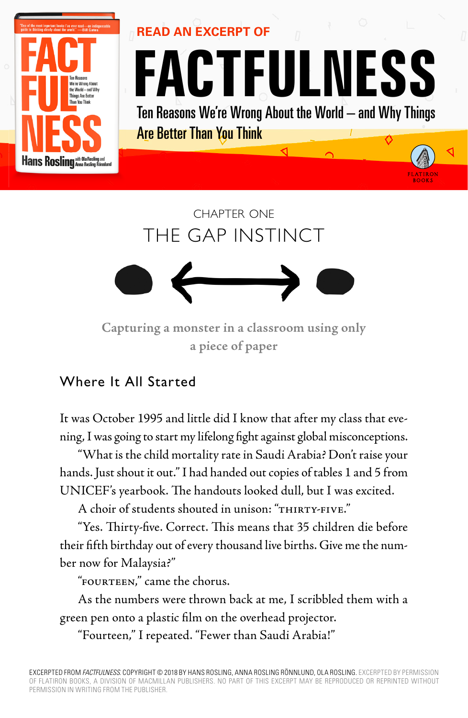

# CHAPTER ONE THE GAP INSTINCT



**Capturing a monster in a classroom using only a piece of paper**

## Where It All Started

It was October 1995 and little did I know that after my class that evening, I was going to start my lifelong fight against global misconceptions.

"What is the child mortality rate in Saudi Arabia? Don't raise your hands. Just shout it out." I had handed out copies of tables 1 and 5 from UNICEF's yearbook. The handouts looked dull, but I was excited.

A choir of students shouted in unison: "THIRTY-FIVE."

"Yes. Thirty-five. Correct. This means that 35 children die before their fifth birthday out of every thousand live births. Give me the number now for Malaysia?"

"fourteen," came the chorus.

As the numbers were thrown back at me, I scribbled them with a green pen onto a plastic film on the overhead projector.

"Fourteen," I repeated. "Fewer than Saudi Arabia!"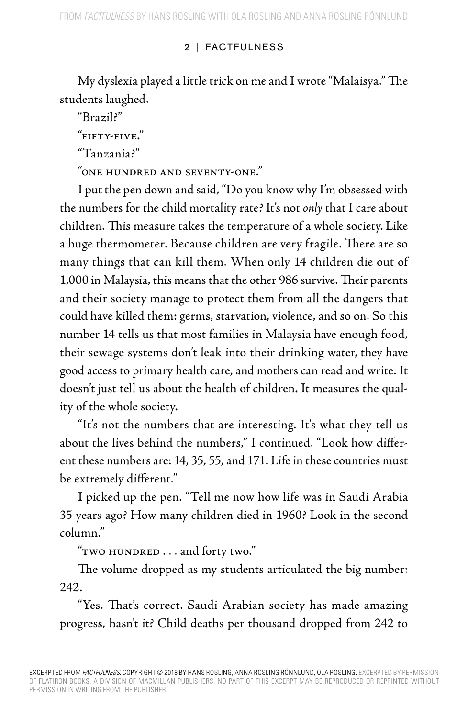My dyslexia played a little trick on me and I wrote "Malaisya." The students laughed.

"Brazil?"

"fifty-five."

"Tanzania?"

"one hundred and seventy-one."

I put the pen down and said, "Do you know why I'm obsessed with the numbers for the child mortality rate? It's not *only* that I care about children. This measure takes the temperature of a whole society. Like a huge thermometer. Because children are very fragile. There are so many things that can kill them. When only 14 children die out of 1,000 in Malaysia, this means that the other 986 survive. Their parents and their society manage to protect them from all the dangers that could have killed them: germs, starvation, violence, and so on. So this number 14 tells us that most families in Malaysia have enough food, their sewage systems don't leak into their drinking water, they have good access to primary health care, and mothers can read and write. It doesn't just tell us about the health of children. It measures the quality of the whole society.

"It's not the numbers that are interesting. It's what they tell us about the lives behind the numbers," I continued. "Look how diferent these numbers are: 14, 35, 55, and 171. Life in these countries must be extremely diferent."

I picked up the pen. "Tell me now how life was in Saudi Arabia 35 years ago? How many children died in 1960? Look in the second column."

"TWO HUNDRED . . . and forty two."

The volume dropped as my students articulated the big number: 242.

"Yes. That's correct. Saudi Arabian society has made amazing progress, hasn't it? Child deaths per thousand dropped from 242 to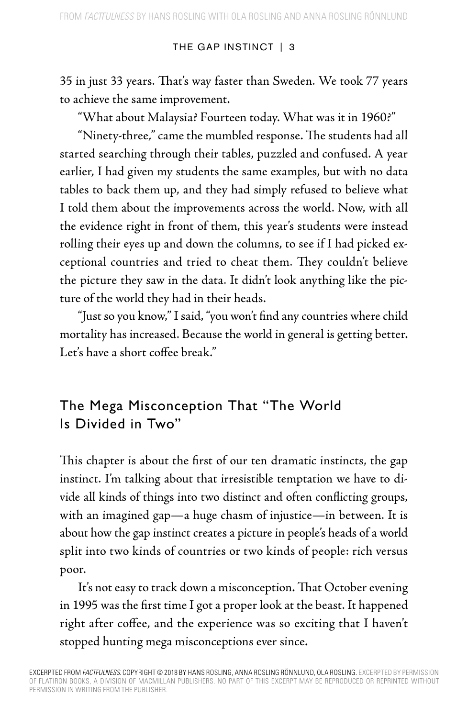35 in just 33 years. That's way faster than Sweden. We took 77 years to achieve the same improvement.

"What about Malaysia? Fourteen today. What was it in 1960?"

"Ninety-three," came the mumbled response. The students had all started searching through their tables, puzzled and confused. A year earlier, I had given my students the same examples, but with no data tables to back them up, and they had simply refused to believe what I told them about the improvements across the world. Now, with all the evidence right in front of them, this year's students were instead rolling their eyes up and down the columns, to see if I had picked exceptional countries and tried to cheat them. They couldn't believe the picture they saw in the data. It didn't look anything like the picture of the world they had in their heads.

"Just so you know," I said, "you won't find any countries where child mortality has increased. Because the world in general is getting better. Let's have a short coffee break."

## The Mega Misconception That "The World Is Divided in Two"

This chapter is about the first of our ten dramatic instincts, the gap instinct. I'm talking about that irresistible temptation we have to divide all kinds of things into two distinct and often conflicting groups, with an imagined gap—a huge chasm of injustice—in between. It is about how the gap instinct creates a picture in people's heads of a world split into two kinds of countries or two kinds of people: rich versus poor.

It's not easy to track down a misconception. That October evening in 1995 was the first time I got a proper look at the beast. It happened right after coffee, and the experience was so exciting that I haven't stopped hunting mega misconceptions ever since.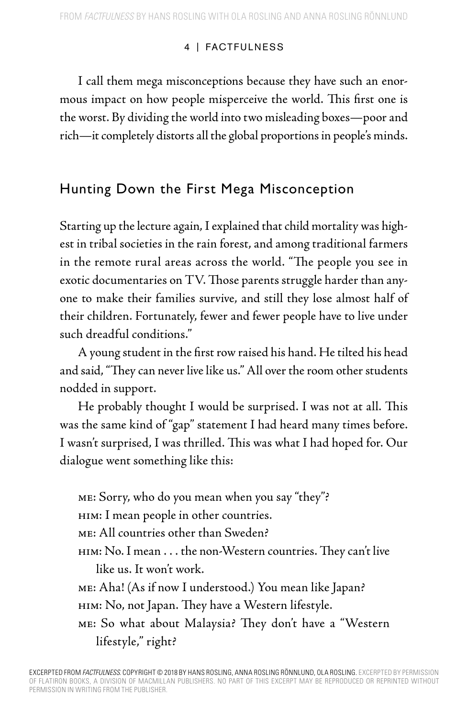I call them mega misconceptions because they have such an enormous impact on how people misperceive the world. This first one is the worst. By dividing the world into two misleading boxes—poor and rich—it completely distorts all the global proportions in people's minds.

## Hunting Down the First Mega Misconception

Starting up the lecture again, I explained that child mortality was highest in tribal societies in the rain forest, and among traditional farmers in the remote rural areas across the world. "The people you see in exotic documentaries on TV. Those parents struggle harder than anyone to make their families survive, and still they lose almost half of their children. Fortunately, fewer and fewer people have to live under such dreadful conditions."

A young student in the first row raised his hand. He tilted his head and said, "They can never live like us." All over the room other students nodded in support.

He probably thought I would be surprised. I was not at all. This was the same kind of "gap" statement I had heard many times before. I wasn't surprised, I was thrilled. This was what I had hoped for. Our dialogue went something like this:

me: Sorry, who do you mean when you say "they"? him: I mean people in other countries. me: All countries other than Sweden? him: No. I mean . . . the non-Western countries. They can't live like us. It won't work. me: Aha! (As if now I understood.) You mean like Japan? him: No, not Japan. They have a Western lifestyle. me: So what about Malaysia? They don't have a "Western lifestyle," right?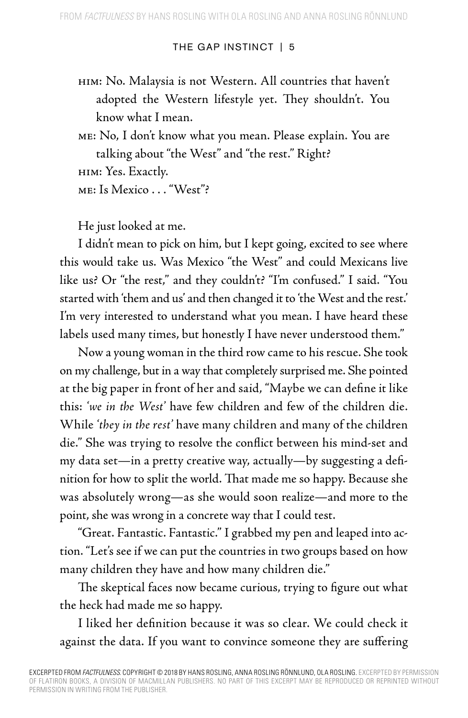- him: No. Malaysia is not Western. All countries that haven't adopted the Western lifestyle yet. They shouldn't. You know what I mean.
- me: No, I don't know what you mean. Please explain. You are talking about "the West" and "the rest." Right?

him: Yes. Exactly.

me: Is Mexico . . . "West"?

He just looked at me.

I didn't mean to pick on him, but I kept going, excited to see where this would take us. Was Mexico "the West" and could Mexicans live like us? Or "the rest," and they couldn't? "I'm confused." I said. "You started with 'them and us' and then changed it to 'the West and the rest.' I'm very interested to understand what you mean. I have heard these labels used many times, but honestly I have never understood them."

Now a young woman in the third row came to his rescue. She took on my challenge, but in a way that completely surprised me. She pointed at the big paper in front of her and said, "Maybe we can define it like this: *'we in the West'* have few children and few of the children die. While *'they in the rest'* have many children and many of the children die." She was trying to resolve the conflict between his mind-set and my data set—in a pretty creative way, actually—by suggesting a definition for how to split the world. That made me so happy. Because she was absolutely wrong—as she would soon realize—and more to the point, she was wrong in a concrete way that I could test.

"Great. Fantastic. Fantastic." I grabbed my pen and leaped into action. "Let's see if we can put the countries in two groups based on how many children they have and how many children die."

The skeptical faces now became curious, trying to figure out what the heck had made me so happy.

I liked her definition because it was so clear. We could check it against the data. If you want to convince someone they are suffering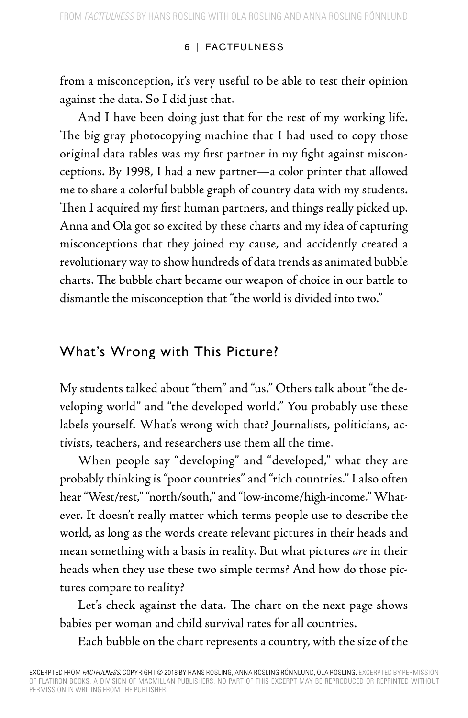from a misconception, it's very useful to be able to test their opinion against the data. So I did just that.

And I have been doing just that for the rest of my working life. The big gray photocopying machine that I had used to copy those original data tables was my first partner in my fight against misconceptions. By 1998, I had a new partner—a color printer that allowed me to share a colorful bubble graph of country data with my students. Then I acquired my first human partners, and things really picked up. Anna and Ola got so excited by these charts and my idea of capturing misconceptions that they joined my cause, and accidently created a revolutionary way to show hundreds of data trends as animated bubble charts. The bubble chart became our weapon of choice in our battle to dismantle the misconception that "the world is divided into two."

## What's Wrong with This Picture?

My students talked about "them" and "us." Others talk about "the developing world" and "the developed world." You probably use these labels yourself. What's wrong with that? Journalists, politicians, activists, teachers, and researchers use them all the time.

When people say "developing" and "developed," what they are probably thinking is "poor countries" and "rich countries." I also often hear "West/rest," "north/south," and "low-income/high-income." Whatever. It doesn't really matter which terms people use to describe the world, as long as the words create relevant pictures in their heads and mean something with a basis in reality. But what pictures *are* in their heads when they use these two simple terms? And how do those pictures compare to reality?

Let's check against the data. The chart on the next page shows babies per woman and child survival rates for all countries.

Each bubble on the chart represents a country, with the size of the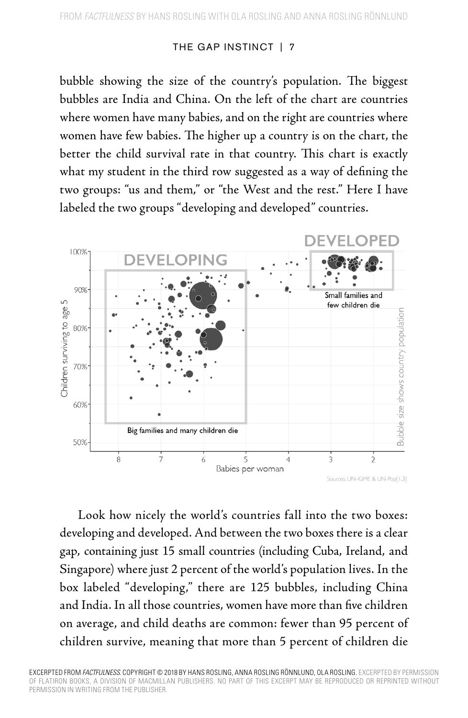bubble showing the size of the country's population. The biggest bubbles are India and China. On the left of the chart are countries where women have many babies, and on the right are countries where women have few babies. The higher up a country is on the chart, the better the child survival rate in that country. This chart is exactly what my student in the third row suggested as a way of defining the two groups: "us and them," or "the West and the rest." Here I have labeled the two groups "developing and developed" countries.



Look how nicely the world's countries fall into the two boxes: developing and developed. And between the two boxes there is a clear gap, containing just 15 small countries (including Cuba, Ireland, and Singapore) where just 2 percent of the world's population lives. In the box labeled "developing," there are 125 bubbles, including China and India. In all those countries, women have more than five children on average, and child deaths are common: fewer than 95 percent of children survive, meaning that more than 5 percent of children die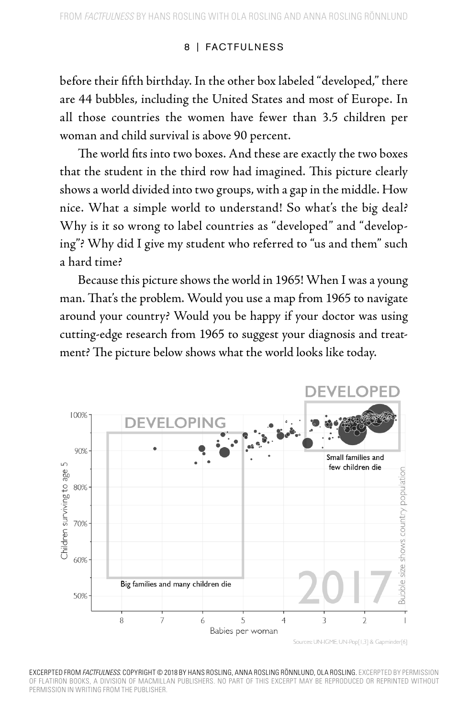before their fifth birthday. In the other box labeled "developed," there are 44 bubbles, including the United States and most of Europe. In all those countries the women have fewer than 3.5 children per woman and child survival is above 90 percent.

The world fits into two boxes. And these are exactly the two boxes that the student in the third row had imagined. This picture clearly shows a world divided into two groups, with a gap in the middle. How nice. What a simple world to understand! So what's the big deal? Why is it so wrong to label countries as "developed" and "developing"? Why did I give my student who referred to "us and them" such a hard time?

Because this picture shows the world in 1965! When I was a young man. That's the problem. Would you use a map from 1965 to navigate around your country? Would you be happy if your doctor was using cutting-edge research from 1965 to suggest your diagnosis and treatment? The picture below shows what the world looks like today.



EXCERPTED FROM *FACTFULNESS*. COPYRIGHT © 2018 BY HANS ROSLING, ANNA ROSLING RÖNNLUND, OLA ROSLING. EXCERPTED BY PERMISSION OF FLATIRON BOOKS, A DIVISION OF MACMILLAN PUBLISHERS. NO PART OF THIS EXCERPT MAY BE REPRODUCED OR REPRINTED WITHOUT PERMISSION IN WRITING FROM THE PUBLISHER.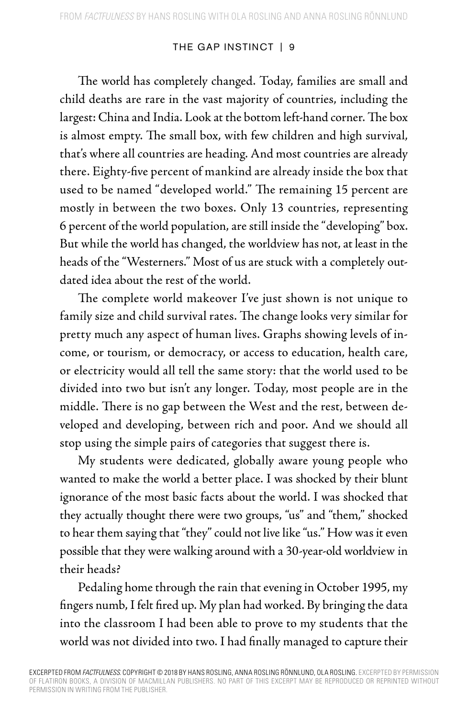The world has completely changed. Today, families are small and child deaths are rare in the vast majority of countries, including the largest: China and India. Look at the bottom left-hand corner. The box is almost empty. The small box, with few children and high survival, that's where all countries are heading. And most countries are already there. Eighty-five percent of mankind are already inside the box that used to be named "developed world." The remaining 15 percent are mostly in between the two boxes. Only 13 countries, representing 6 percent of the world population, are still inside the "developing" box. But while the world has changed, the worldview has not, at least in the heads of the "Westerners." Most of us are stuck with a completely outdated idea about the rest of the world.

The complete world makeover I've just shown is not unique to family size and child survival rates. The change looks very similar for pretty much any aspect of human lives. Graphs showing levels of income, or tourism, or democracy, or access to education, health care, or electricity would all tell the same story: that the world used to be divided into two but isn't any longer. Today, most people are in the middle. There is no gap between the West and the rest, between developed and developing, between rich and poor. And we should all stop using the simple pairs of categories that suggest there is.

My students were dedicated, globally aware young people who wanted to make the world a better place. I was shocked by their blunt ignorance of the most basic facts about the world. I was shocked that they actually thought there were two groups, "us" and "them," shocked to hear them saying that "they" could not live like "us." How was it even possible that they were walking around with a 30-year-old worldview in their heads?

Pedaling home through the rain that evening in October 1995, my fingers numb, I felt fired up. My plan had worked. By bringing the data into the classroom I had been able to prove to my students that the world was not divided into two. I had finally managed to capture their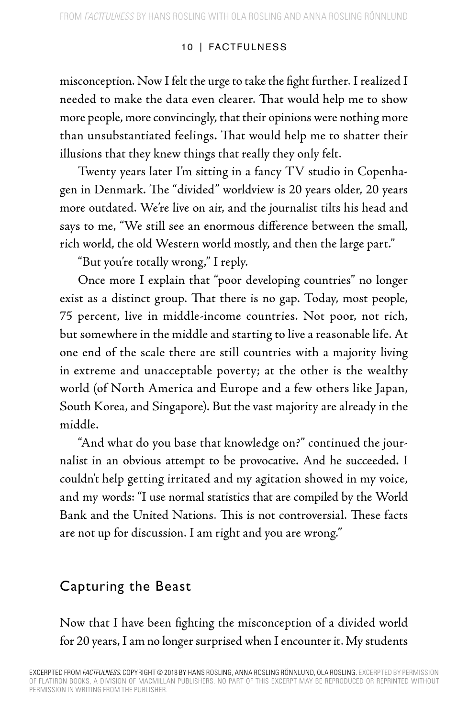misconception. Now I felt the urge to take the fight further. I realized I needed to make the data even clearer. That would help me to show more people, more convincingly, that their opinions were nothing more than unsubstantiated feelings. That would help me to shatter their illusions that they knew things that really they only felt.

Twenty years later I'm sitting in a fancy TV studio in Copenhagen in Denmark. The "divided" worldview is 20 years older, 20 years more outdated. We're live on air, and the journalist tilts his head and says to me, "We still see an enormous difference between the small, rich world, the old Western world mostly, and then the large part."

"But you're totally wrong," I reply.

Once more I explain that "poor developing countries" no longer exist as a distinct group. That there is no gap. Today, most people, 75 percent, live in middle-income countries. Not poor, not rich, but somewhere in the middle and starting to live a reasonable life. At one end of the scale there are still countries with a majority living in extreme and unacceptable poverty; at the other is the wealthy world (of North America and Europe and a few others like Japan, South Korea, and Singapore). But the vast majority are already in the middle.

"And what do you base that knowledge on?" continued the journalist in an obvious attempt to be provocative. And he succeeded. I couldn't help getting irritated and my agitation showed in my voice, and my words: "I use normal statistics that are compiled by the World Bank and the United Nations. This is not controversial. These facts are not up for discussion. I am right and you are wrong."

## Capturing the Beast

Now that I have been fighting the misconception of a divided world for 20 years, I am no longer surprised when I encounter it. My students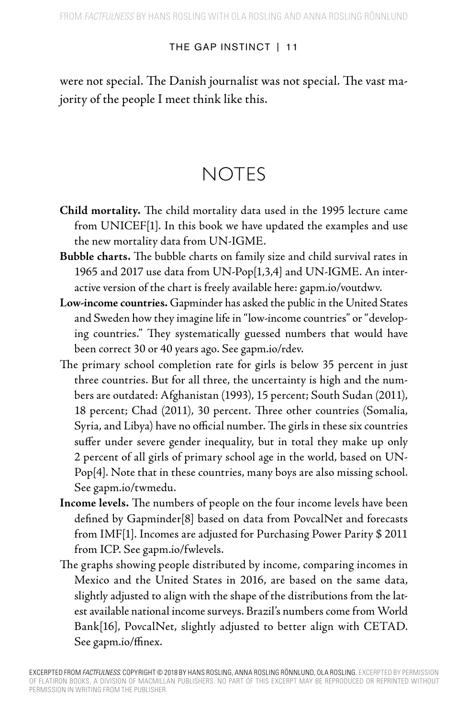were not special. The Danish journalist was not special. The vast majority of the people I meet think like this.

# **NOTES**

- **Child mortality.** The child mortality data used in the 1995 lecture came from UNICEF[1]. In this book we have updated the examples and use the new mortality data from UN-IGME.
- **Bubble charts.** The bubble charts on family size and child survival rates in 1965 and 2017 use data from UN-Pop[1,3,4] and UN-IGME. An interactive version of the chart is freely available here: gapm.io/voutdwv.
- **Low-income countries.** Gapminder has asked the public in the United States and Sweden how they imagine life in "low-income countries" or "developing countries." They systematically guessed numbers that would have been correct 30 or 40 years ago. See gapm.io/rdev.
- The primary school completion rate for girls is below 35 percent in just three countries. But for all three, the uncertainty is high and the numbers are outdated: Afghanistan (1993), 15 percent; South Sudan (2011), 18 percent; Chad (2011), 30 percent. Three other countries (Somalia, Syria, and Libya) have no official number. The girls in these six countries suffer under severe gender inequality, but in total they make up only 2 percent of all girls of primary school age in the world, based on UN-Pop[4]. Note that in these countries, many boys are also missing school. See gapm.io/twmedu.
- **Income levels.** The numbers of people on the four income levels have been defined by Gapminder[8] based on data from PovcalNet and forecasts from IMF[1]. Incomes are adjusted for Purchasing Power Parity \$ 2011 from ICP. See gapm.io/fwlevels.
- The graphs showing people distributed by income, comparing incomes in Mexico and the United States in 2016, are based on the same data, slightly adjusted to align with the shape of the distributions from the latest available national income surveys. Brazil's numbers come from World Bank[16], PovcalNet, slightly adjusted to better align with CETAD. See gapm.io/ffinex.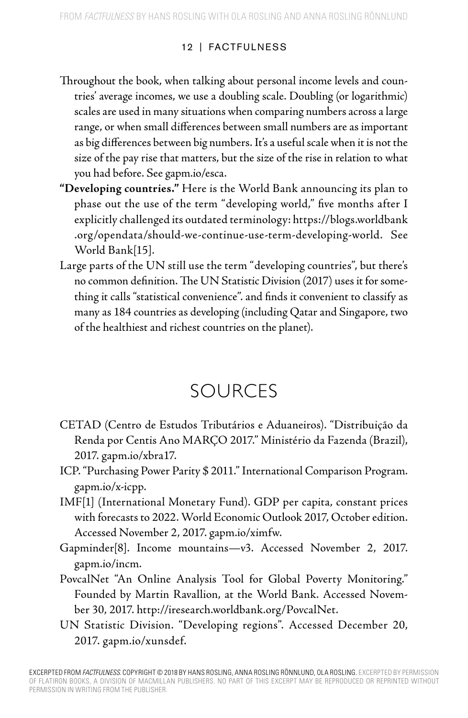- Throughout the book, when talking about personal income levels and countries' average incomes, we use a doubling scale. Doubling (or logarithmic) scales are used in many situations when comparing numbers across a large range, or when small differences between small numbers are as important as big differences between big numbers. It's a useful scale when it is not the size of the pay rise that matters, but the size of the rise in relation to what you had before. See gapm.io/esca.
- **"Developing countries."** Here is the World Bank announcing its plan to phase out the use of the term "developing world," five months after I explicitly challenged its outdated terminology: https://blogs.worldbank .org/opendata/should-we-continue-use-term-developing-world. See World Bank[15].
- Large parts of the UN still use the term "developing countries", but there's no common definition. The UN Statistic Division (2017) uses it for something it calls "statistical convenience". and finds it convenient to classify as many as 184 countries as developing (including Qatar and Singapore, two of the healthiest and richest countries on the planet).

# SOURCES

- CETAD (Centro de Estudos Tributários e Aduaneiros). "Distribuição da Renda por Centis Ano MARÇO 2017." Ministério da Fazenda (Brazil), 2017. gapm.io/xbra17.
- ICP. "Purchasing Power Parity \$ 2011." International Comparison Program. gapm.io/x-icpp.
- IMF[1] (International Monetary Fund). GDP per capita, constant prices with forecasts to 2022. World Economic Outlook 2017, October edition. Accessed November 2, 2017. gapm.io/ximfw.
- Gapminder[8]. Income mountains—v3. Accessed November 2, 2017. gapm.io/incm.
- PovcalNet "An Online Analysis Tool for Global Poverty Monitoring." Founded by Martin Ravallion, at the World Bank. Accessed November 30, 2017. http://iresearch.worldbank.org/PovcalNet.
- UN Statistic Division. "Developing regions". Accessed December 20, 2017. gapm.io/xunsdef.